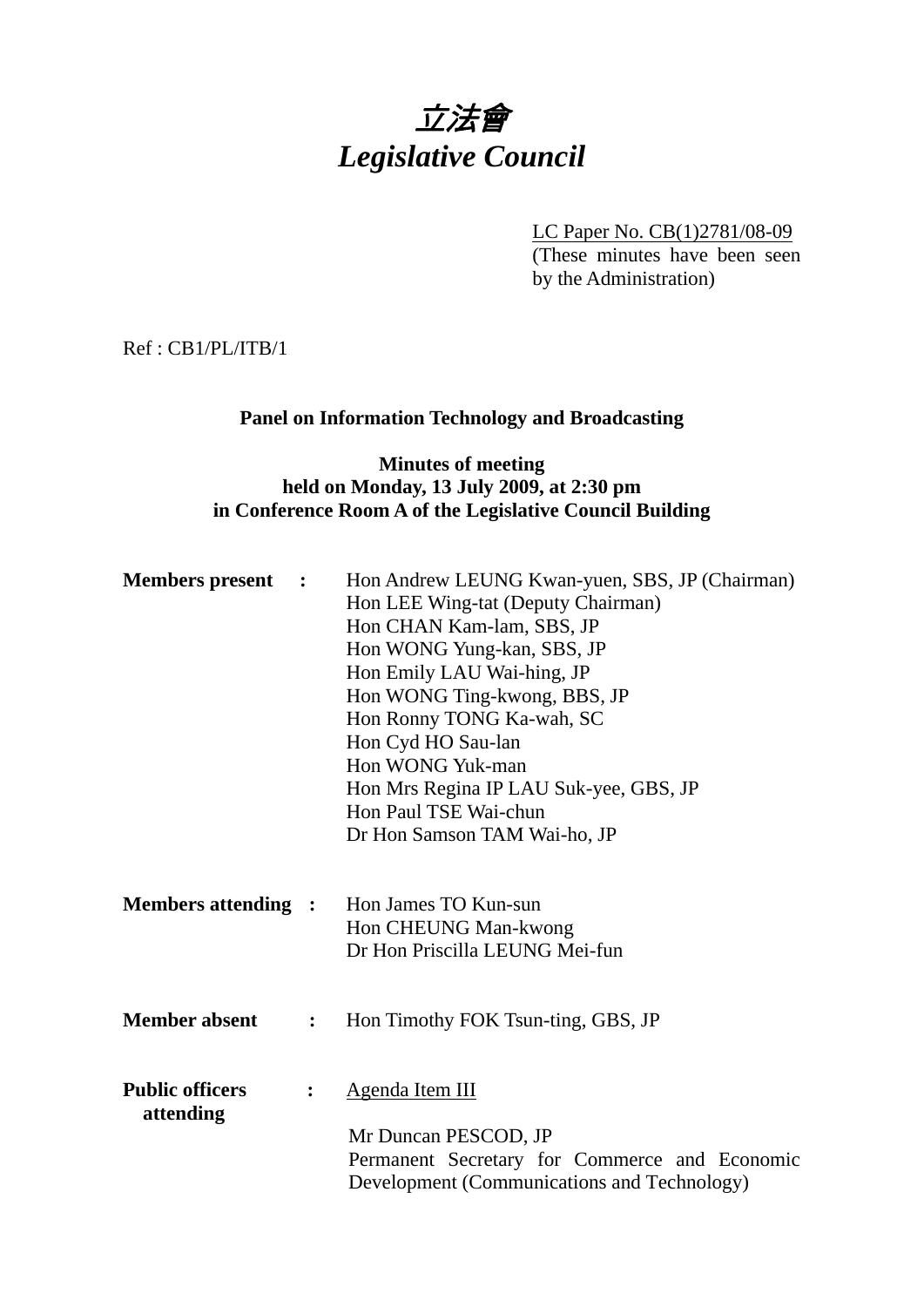

LC Paper No. CB(1)2781/08-09 (These minutes have been seen by the Administration)

Ref : CB1/PL/ITB/1

## **Panel on Information Technology and Broadcasting**

### **Minutes of meeting held on Monday, 13 July 2009, at 2:30 pm in Conference Room A of the Legislative Council Building**

| <b>Members</b> present<br>$\ddot{\phantom{1}}$ |                | Hon Andrew LEUNG Kwan-yuen, SBS, JP (Chairman)<br>Hon LEE Wing-tat (Deputy Chairman)<br>Hon CHAN Kam-lam, SBS, JP<br>Hon WONG Yung-kan, SBS, JP<br>Hon Emily LAU Wai-hing, JP<br>Hon WONG Ting-kwong, BBS, JP<br>Hon Ronny TONG Ka-wah, SC<br>Hon Cyd HO Sau-lan<br>Hon WONG Yuk-man<br>Hon Mrs Regina IP LAU Suk-yee, GBS, JP<br>Hon Paul TSE Wai-chun<br>Dr Hon Samson TAM Wai-ho, JP |
|------------------------------------------------|----------------|-----------------------------------------------------------------------------------------------------------------------------------------------------------------------------------------------------------------------------------------------------------------------------------------------------------------------------------------------------------------------------------------|
| <b>Members attending :</b>                     |                | Hon James TO Kun-sun<br>Hon CHEUNG Man-kwong<br>Dr Hon Priscilla LEUNG Mei-fun                                                                                                                                                                                                                                                                                                          |
| <b>Member absent</b>                           | $\ddot{\cdot}$ | Hon Timothy FOK Tsun-ting, GBS, JP                                                                                                                                                                                                                                                                                                                                                      |
| <b>Public officers</b><br>attending            |                | <b>Agenda Item III</b><br>Mr Duncan PESCOD, JP<br>Permanent Secretary for Commerce and Economic<br>Development (Communications and Technology)                                                                                                                                                                                                                                          |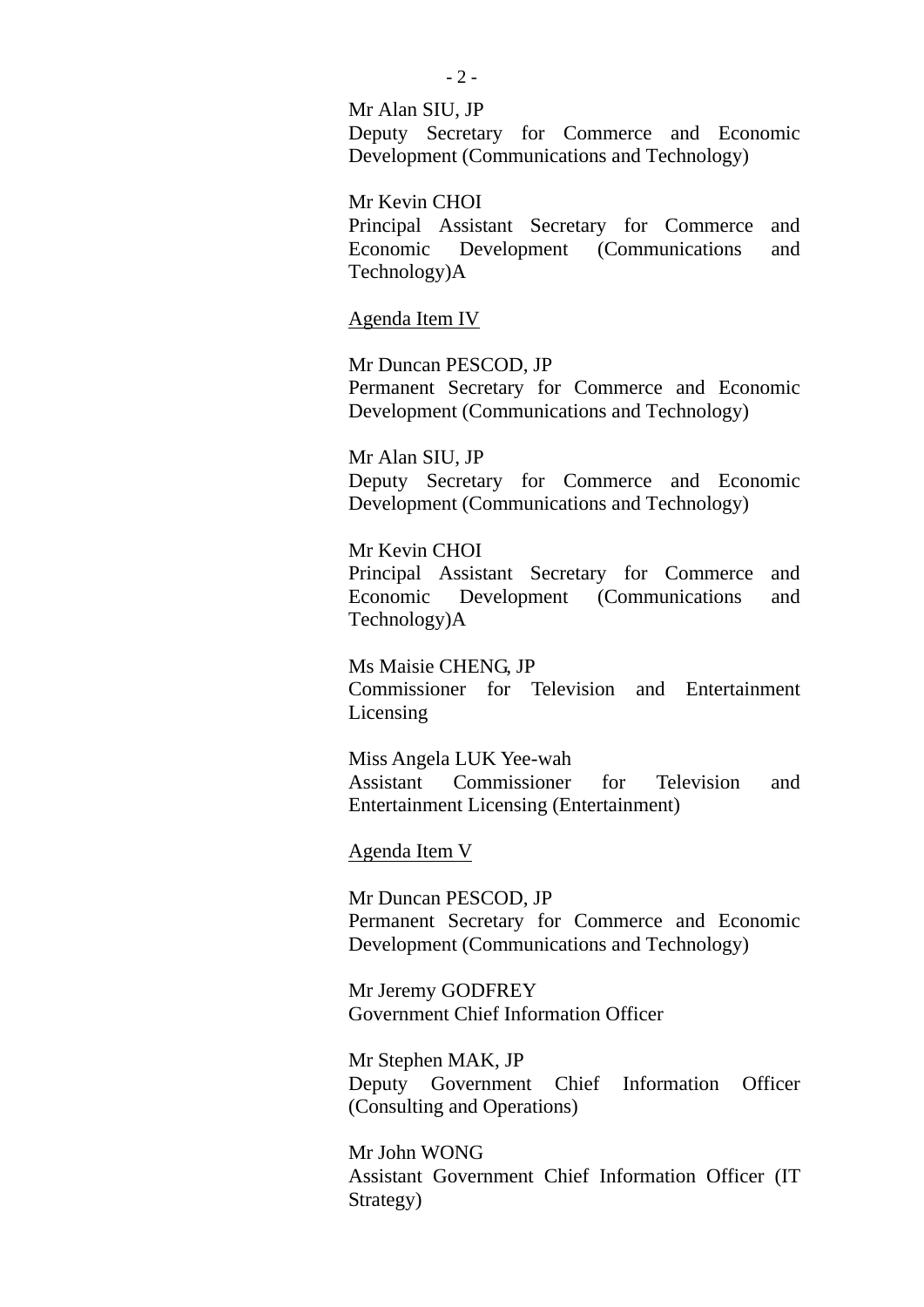#### Mr Alan SIU, JP Deputy Secretary for Commerce and Economic

Development (Communications and Technology)

Mr Kevin CHOI Principal Assistant Secretary for Commerce and Economic Development (Communications and Technology)A

#### Agenda Item IV

Mr Duncan PESCOD, JP Permanent Secretary for Commerce and Economic Development (Communications and Technology)

Mr Alan SIU, JP Deputy Secretary for Commerce and Economic Development (Communications and Technology)

Mr Kevin CHOI Principal Assistant Secretary for Commerce and Economic Development (Communications and Technology)A

Ms Maisie CHENG, JP Commissioner for Television and Entertainment Licensing

Miss Angela LUK Yee-wah Assistant Commissioner for Television and Entertainment Licensing (Entertainment)

Agenda Item V

Mr Duncan PESCOD, JP Permanent Secretary for Commerce and Economic Development (Communications and Technology)

Mr Jeremy GODFREY Government Chief Information Officer

Mr Stephen MAK, JP Deputy Government Chief Information Officer (Consulting and Operations)

Mr John WONG Assistant Government Chief Information Officer (IT Strategy)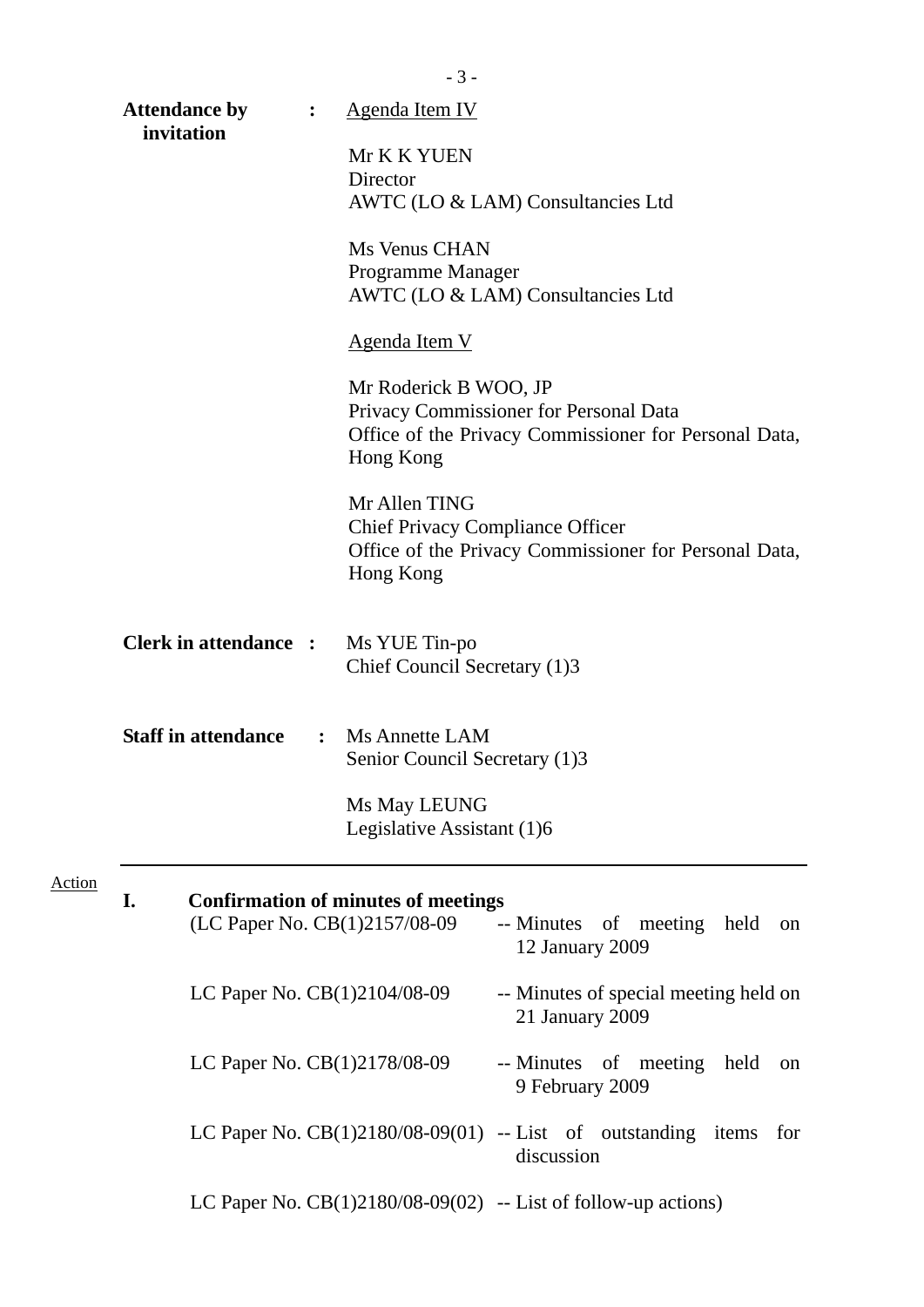|               |                                    |                | $-3-$                                                                                                                                 |                                                                                      |  |
|---------------|------------------------------------|----------------|---------------------------------------------------------------------------------------------------------------------------------------|--------------------------------------------------------------------------------------|--|
|               | <b>Attendance by</b><br>invitation | $\ddot{\cdot}$ | Agenda Item IV                                                                                                                        |                                                                                      |  |
|               |                                    |                | Mr K K YUEN<br>Director                                                                                                               | AWTC (LO & LAM) Consultancies Ltd                                                    |  |
|               |                                    |                | Ms Venus CHAN<br>Programme Manager                                                                                                    | AWTC (LO & LAM) Consultancies Ltd                                                    |  |
|               |                                    |                | <b>Agenda Item V</b>                                                                                                                  |                                                                                      |  |
|               |                                    |                | Mr Roderick B WOO, JP<br>Privacy Commissioner for Personal Data<br>Office of the Privacy Commissioner for Personal Data,<br>Hong Kong |                                                                                      |  |
|               |                                    |                | Mr Allen TING<br><b>Chief Privacy Compliance Officer</b><br>Hong Kong                                                                 | Office of the Privacy Commissioner for Personal Data,                                |  |
|               | <b>Clerk in attendance:</b>        |                | Ms YUE Tin-po<br>Chief Council Secretary (1)3                                                                                         |                                                                                      |  |
|               | <b>Staff in attendance</b>         | $\ddot{\cdot}$ | <b>Ms Annette LAM</b><br>Senior Council Secretary (1)3                                                                                |                                                                                      |  |
|               |                                    |                | Ms May LEUNG<br>Legislative Assistant (1)6                                                                                            |                                                                                      |  |
| <b>Action</b> | I.                                 |                | <b>Confirmation of minutes of meetings</b><br>(LC Paper No. CB(1)2157/08-09                                                           | -- Minutes of meeting held<br>on<br>12 January 2009                                  |  |
|               |                                    |                | LC Paper No. $CB(1)2104/08-09$                                                                                                        | -- Minutes of special meeting held on<br>21 January 2009                             |  |
|               |                                    |                | LC Paper No. CB(1)2178/08-09                                                                                                          | -- Minutes of meeting held<br>on<br>9 February 2009                                  |  |
|               |                                    |                |                                                                                                                                       | LC Paper No. $CB(1)2180/08-09(01)$ -- List of outstanding items<br>for<br>discussion |  |
|               |                                    |                |                                                                                                                                       | LC Paper No. $CB(1)2180/08-09(02)$ -- List of follow-up actions)                     |  |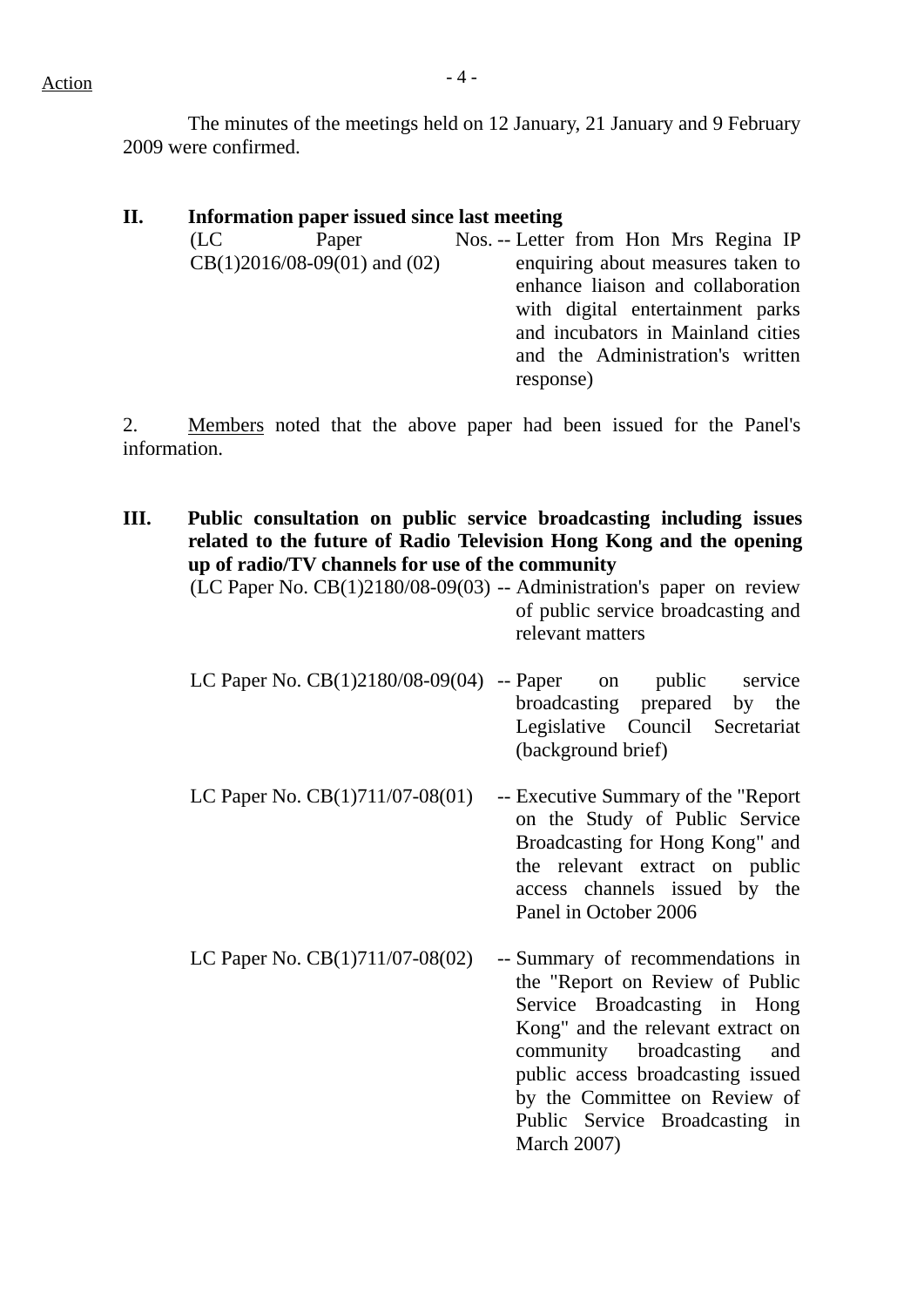$Action$ 

 The minutes of the meetings held on 12 January, 21 January and 9 February 2009 were confirmed.

| П. |      | Information paper issued since last meeting |                                       |
|----|------|---------------------------------------------|---------------------------------------|
|    | (LC) | Paper                                       | Nos. -- Letter from Hon Mrs Regina IP |
|    |      | $CB(1)2016/08-09(01)$ and $(02)$            | enquiring about measures taken to     |
|    |      |                                             | enhance liaison and collaboration     |
|    |      |                                             | with digital entertainment parks      |
|    |      |                                             | and incubators in Mainland cities     |
|    |      |                                             | and the Administration's written      |
|    |      |                                             | response)                             |
|    |      |                                             |                                       |

2. Members noted that the above paper had been issued for the Panel's information.

**III. Public consultation on public service broadcasting including issues related to the future of Radio Television Hong Kong and the opening up of radio/TV channels for use of the community**  (LC Paper No.  $CB(1)2180/08-09(03)$  -- Administration's paper on review of public service broadcasting and relevant matters LC Paper No. CB(1)2180/08-09(04) -- Paper on public service broadcasting prepared by the Legislative Council Secretariat (background brief) LC Paper No. CB(1)711/07-08(01) -- Executive Summary of the "Report on the Study of Public Service Broadcasting for Hong Kong" and the relevant extract on public access channels issued by the Panel in October 2006 LC Paper No.  $CB(1)711/07-08(02)$  -- Summary of recommendations in the "Report on Review of Public Service Broadcasting in Hong Kong" and the relevant extract on community broadcasting and public access broadcasting issued by the Committee on Review of Public Service Broadcasting in

March 2007)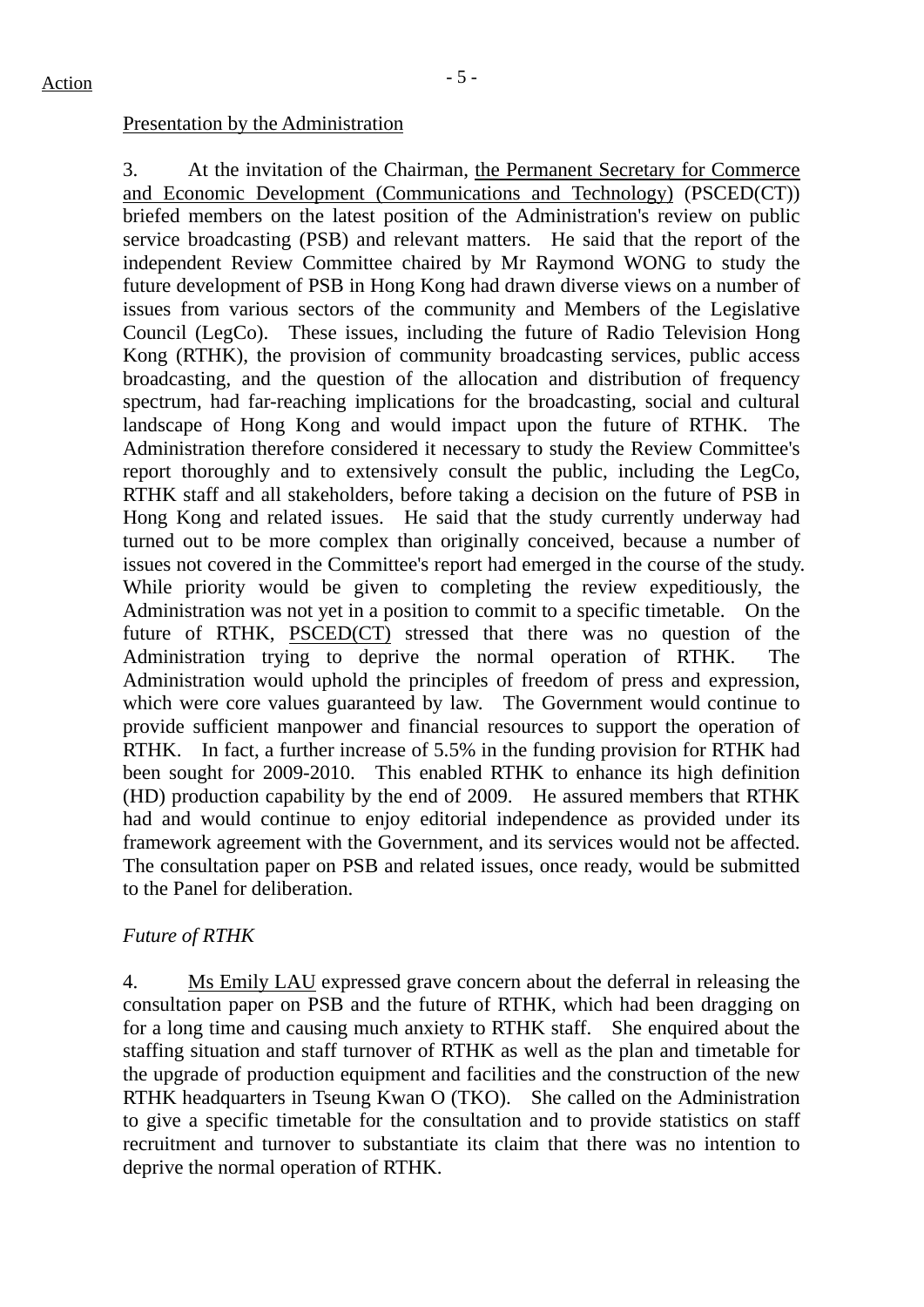### Presentation by the Administration

3. At the invitation of the Chairman, the Permanent Secretary for Commerce and Economic Development (Communications and Technology) (PSCED(CT)) briefed members on the latest position of the Administration's review on public service broadcasting (PSB) and relevant matters. He said that the report of the independent Review Committee chaired by Mr Raymond WONG to study the future development of PSB in Hong Kong had drawn diverse views on a number of issues from various sectors of the community and Members of the Legislative Council (LegCo). These issues, including the future of Radio Television Hong Kong (RTHK), the provision of community broadcasting services, public access broadcasting, and the question of the allocation and distribution of frequency spectrum, had far-reaching implications for the broadcasting, social and cultural landscape of Hong Kong and would impact upon the future of RTHK. The Administration therefore considered it necessary to study the Review Committee's report thoroughly and to extensively consult the public, including the LegCo, RTHK staff and all stakeholders, before taking a decision on the future of PSB in Hong Kong and related issues. He said that the study currently underway had turned out to be more complex than originally conceived, because a number of issues not covered in the Committee's report had emerged in the course of the study. While priority would be given to completing the review expeditiously, the Administration was not yet in a position to commit to a specific timetable. On the future of RTHK, PSCED(CT) stressed that there was no question of the Administration trying to deprive the normal operation of RTHK. The Administration would uphold the principles of freedom of press and expression, which were core values guaranteed by law. The Government would continue to provide sufficient manpower and financial resources to support the operation of RTHK. In fact, a further increase of 5.5% in the funding provision for RTHK had been sought for 2009-2010. This enabled RTHK to enhance its high definition (HD) production capability by the end of 2009. He assured members that RTHK had and would continue to enjoy editorial independence as provided under its framework agreement with the Government, and its services would not be affected. The consultation paper on PSB and related issues, once ready, would be submitted to the Panel for deliberation.

## *Future of RTHK*

4. Ms Emily LAU expressed grave concern about the deferral in releasing the consultation paper on PSB and the future of RTHK, which had been dragging on for a long time and causing much anxiety to RTHK staff. She enquired about the staffing situation and staff turnover of RTHK as well as the plan and timetable for the upgrade of production equipment and facilities and the construction of the new RTHK headquarters in Tseung Kwan O (TKO). She called on the Administration to give a specific timetable for the consultation and to provide statistics on staff recruitment and turnover to substantiate its claim that there was no intention to deprive the normal operation of RTHK.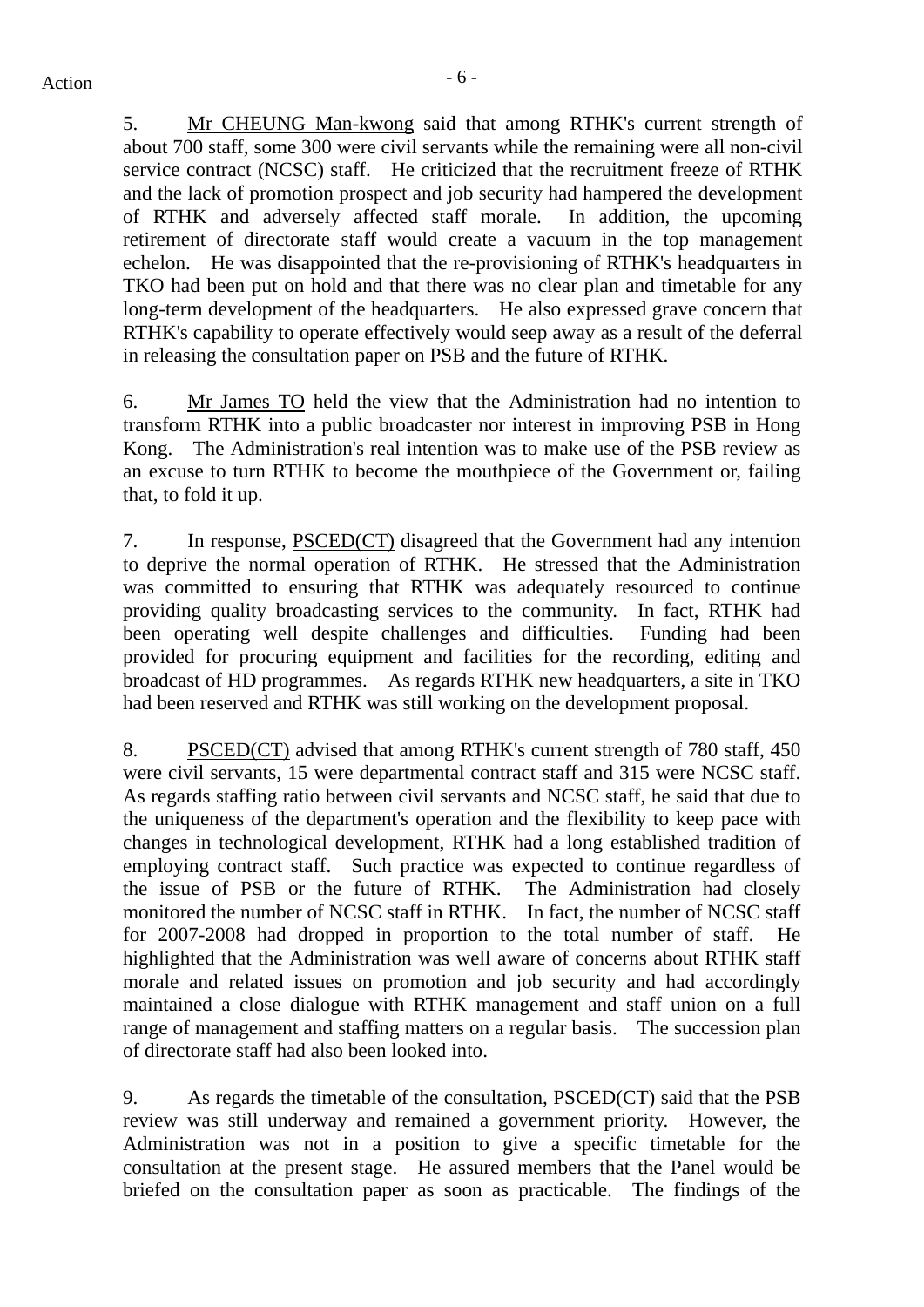5. Mr CHEUNG Man-kwong said that among RTHK's current strength of about 700 staff, some 300 were civil servants while the remaining were all non-civil service contract (NCSC) staff. He criticized that the recruitment freeze of RTHK and the lack of promotion prospect and job security had hampered the development of RTHK and adversely affected staff morale. In addition, the upcoming retirement of directorate staff would create a vacuum in the top management echelon. He was disappointed that the re-provisioning of RTHK's headquarters in TKO had been put on hold and that there was no clear plan and timetable for any long-term development of the headquarters. He also expressed grave concern that RTHK's capability to operate effectively would seep away as a result of the deferral in releasing the consultation paper on PSB and the future of RTHK.

6. Mr James TO held the view that the Administration had no intention to transform RTHK into a public broadcaster nor interest in improving PSB in Hong Kong. The Administration's real intention was to make use of the PSB review as an excuse to turn RTHK to become the mouthpiece of the Government or, failing that, to fold it up.

7. In response, PSCED(CT) disagreed that the Government had any intention to deprive the normal operation of RTHK. He stressed that the Administration was committed to ensuring that RTHK was adequately resourced to continue providing quality broadcasting services to the community. In fact, RTHK had been operating well despite challenges and difficulties. Funding had been provided for procuring equipment and facilities for the recording, editing and broadcast of HD programmes. As regards RTHK new headquarters, a site in TKO had been reserved and RTHK was still working on the development proposal.

8. PSCED(CT) advised that among RTHK's current strength of 780 staff, 450 were civil servants, 15 were departmental contract staff and 315 were NCSC staff. As regards staffing ratio between civil servants and NCSC staff, he said that due to the uniqueness of the department's operation and the flexibility to keep pace with changes in technological development, RTHK had a long established tradition of employing contract staff. Such practice was expected to continue regardless of the issue of PSB or the future of RTHK. The Administration had closely monitored the number of NCSC staff in RTHK. In fact, the number of NCSC staff for 2007-2008 had dropped in proportion to the total number of staff. He highlighted that the Administration was well aware of concerns about RTHK staff morale and related issues on promotion and job security and had accordingly maintained a close dialogue with RTHK management and staff union on a full range of management and staffing matters on a regular basis. The succession plan of directorate staff had also been looked into.

9. As regards the timetable of the consultation, PSCED(CT) said that the PSB review was still underway and remained a government priority. However, the Administration was not in a position to give a specific timetable for the consultation at the present stage. He assured members that the Panel would be briefed on the consultation paper as soon as practicable. The findings of the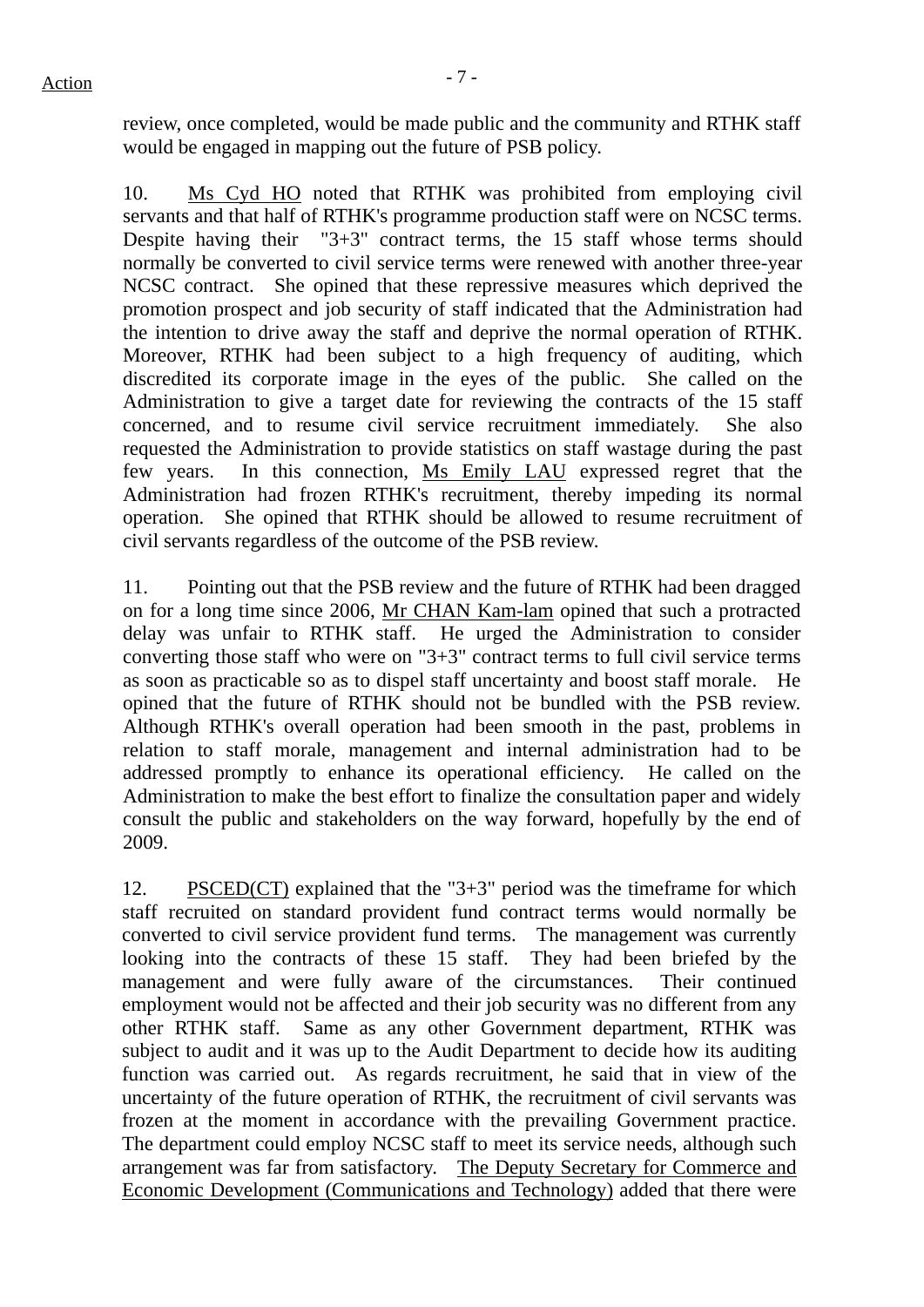review, once completed, would be made public and the community and RTHK staff would be engaged in mapping out the future of PSB policy.

10. Ms Cyd HO noted that RTHK was prohibited from employing civil servants and that half of RTHK's programme production staff were on NCSC terms. Despite having their "3+3" contract terms, the 15 staff whose terms should normally be converted to civil service terms were renewed with another three-year NCSC contract. She opined that these repressive measures which deprived the promotion prospect and job security of staff indicated that the Administration had the intention to drive away the staff and deprive the normal operation of RTHK. Moreover, RTHK had been subject to a high frequency of auditing, which discredited its corporate image in the eyes of the public. She called on the Administration to give a target date for reviewing the contracts of the 15 staff concerned, and to resume civil service recruitment immediately. She also requested the Administration to provide statistics on staff wastage during the past few years. In this connection, Ms Emily LAU expressed regret that the Administration had frozen RTHK's recruitment, thereby impeding its normal operation. She opined that RTHK should be allowed to resume recruitment of civil servants regardless of the outcome of the PSB review.

11. Pointing out that the PSB review and the future of RTHK had been dragged on for a long time since 2006, Mr CHAN Kam-lam opined that such a protracted delay was unfair to RTHK staff. He urged the Administration to consider converting those staff who were on "3+3" contract terms to full civil service terms as soon as practicable so as to dispel staff uncertainty and boost staff morale. He opined that the future of RTHK should not be bundled with the PSB review. Although RTHK's overall operation had been smooth in the past, problems in relation to staff morale, management and internal administration had to be addressed promptly to enhance its operational efficiency. He called on the Administration to make the best effort to finalize the consultation paper and widely consult the public and stakeholders on the way forward, hopefully by the end of 2009.

12. PSCED(CT) explained that the "3+3" period was the timeframe for which staff recruited on standard provident fund contract terms would normally be converted to civil service provident fund terms. The management was currently looking into the contracts of these 15 staff. They had been briefed by the management and were fully aware of the circumstances. Their continued employment would not be affected and their job security was no different from any other RTHK staff. Same as any other Government department, RTHK was subject to audit and it was up to the Audit Department to decide how its auditing function was carried out. As regards recruitment, he said that in view of the uncertainty of the future operation of RTHK, the recruitment of civil servants was frozen at the moment in accordance with the prevailing Government practice. The department could employ NCSC staff to meet its service needs, although such arrangement was far from satisfactory. The Deputy Secretary for Commerce and Economic Development (Communications and Technology) added that there were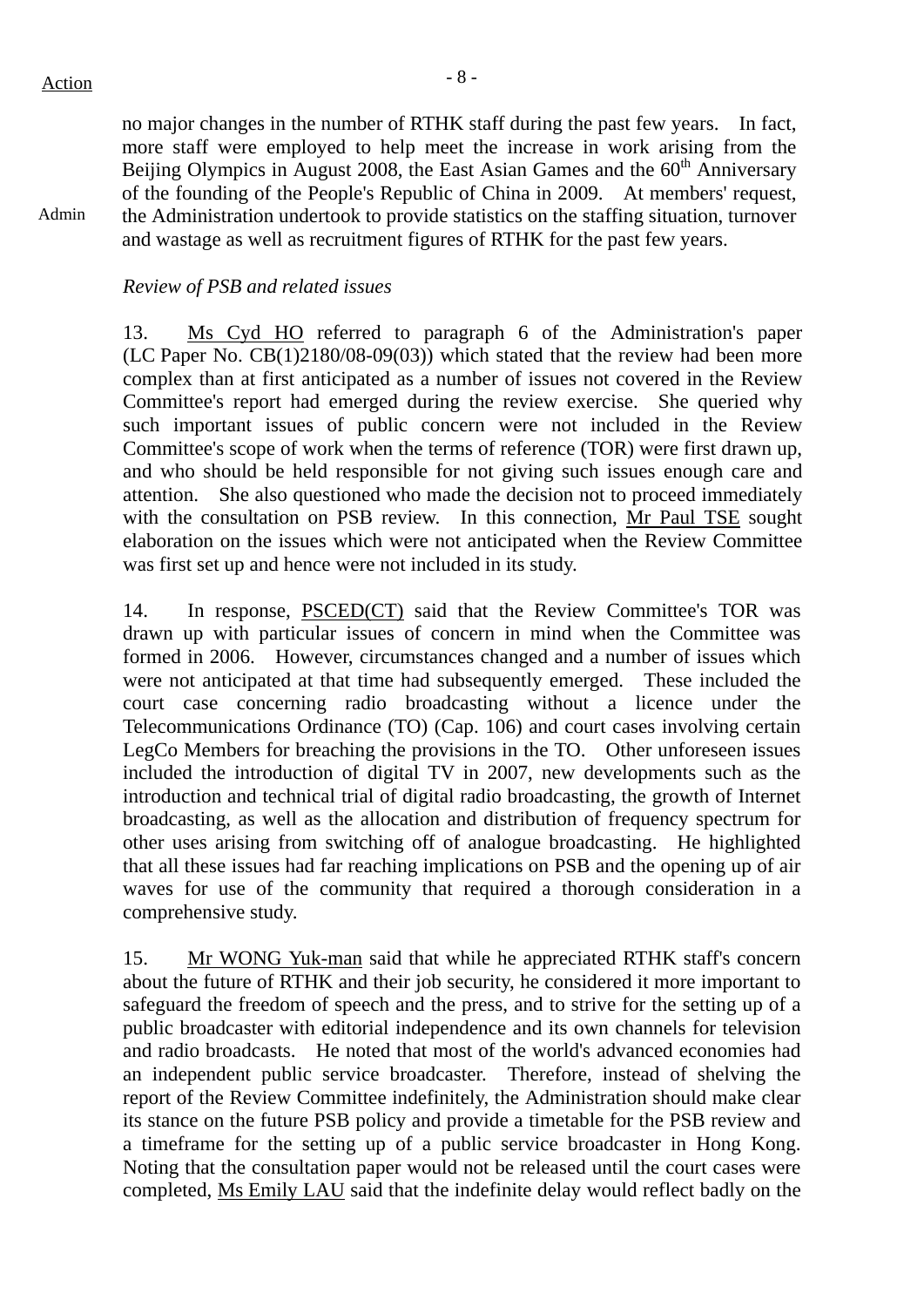Admin

no major changes in the number of RTHK staff during the past few years. In fact, more staff were employed to help meet the increase in work arising from the Beijing Olympics in August 2008, the East Asian Games and the 60<sup>th</sup> Anniversary of the founding of the People's Republic of China in 2009. At members' request, the Administration undertook to provide statistics on the staffing situation, turnover and wastage as well as recruitment figures of RTHK for the past few years.

# *Review of PSB and related issues*

13. Ms Cyd HO referred to paragraph 6 of the Administration's paper (LC Paper No. CB(1)2180/08-09(03)) which stated that the review had been more complex than at first anticipated as a number of issues not covered in the Review Committee's report had emerged during the review exercise. She queried why such important issues of public concern were not included in the Review Committee's scope of work when the terms of reference (TOR) were first drawn up, and who should be held responsible for not giving such issues enough care and attention. She also questioned who made the decision not to proceed immediately with the consultation on PSB review. In this connection, Mr Paul TSE sought elaboration on the issues which were not anticipated when the Review Committee was first set up and hence were not included in its study.

14. In response, PSCED(CT) said that the Review Committee's TOR was drawn up with particular issues of concern in mind when the Committee was formed in 2006. However, circumstances changed and a number of issues which were not anticipated at that time had subsequently emerged. These included the court case concerning radio broadcasting without a licence under the Telecommunications Ordinance (TO) (Cap. 106) and court cases involving certain LegCo Members for breaching the provisions in the TO. Other unforeseen issues included the introduction of digital TV in 2007, new developments such as the introduction and technical trial of digital radio broadcasting, the growth of Internet broadcasting, as well as the allocation and distribution of frequency spectrum for other uses arising from switching off of analogue broadcasting. He highlighted that all these issues had far reaching implications on PSB and the opening up of air waves for use of the community that required a thorough consideration in a comprehensive study.

15. Mr WONG Yuk-man said that while he appreciated RTHK staff's concern about the future of RTHK and their job security, he considered it more important to safeguard the freedom of speech and the press, and to strive for the setting up of a public broadcaster with editorial independence and its own channels for television and radio broadcasts. He noted that most of the world's advanced economies had an independent public service broadcaster. Therefore, instead of shelving the report of the Review Committee indefinitely, the Administration should make clear its stance on the future PSB policy and provide a timetable for the PSB review and a timeframe for the setting up of a public service broadcaster in Hong Kong. Noting that the consultation paper would not be released until the court cases were completed, Ms Emily LAU said that the indefinite delay would reflect badly on the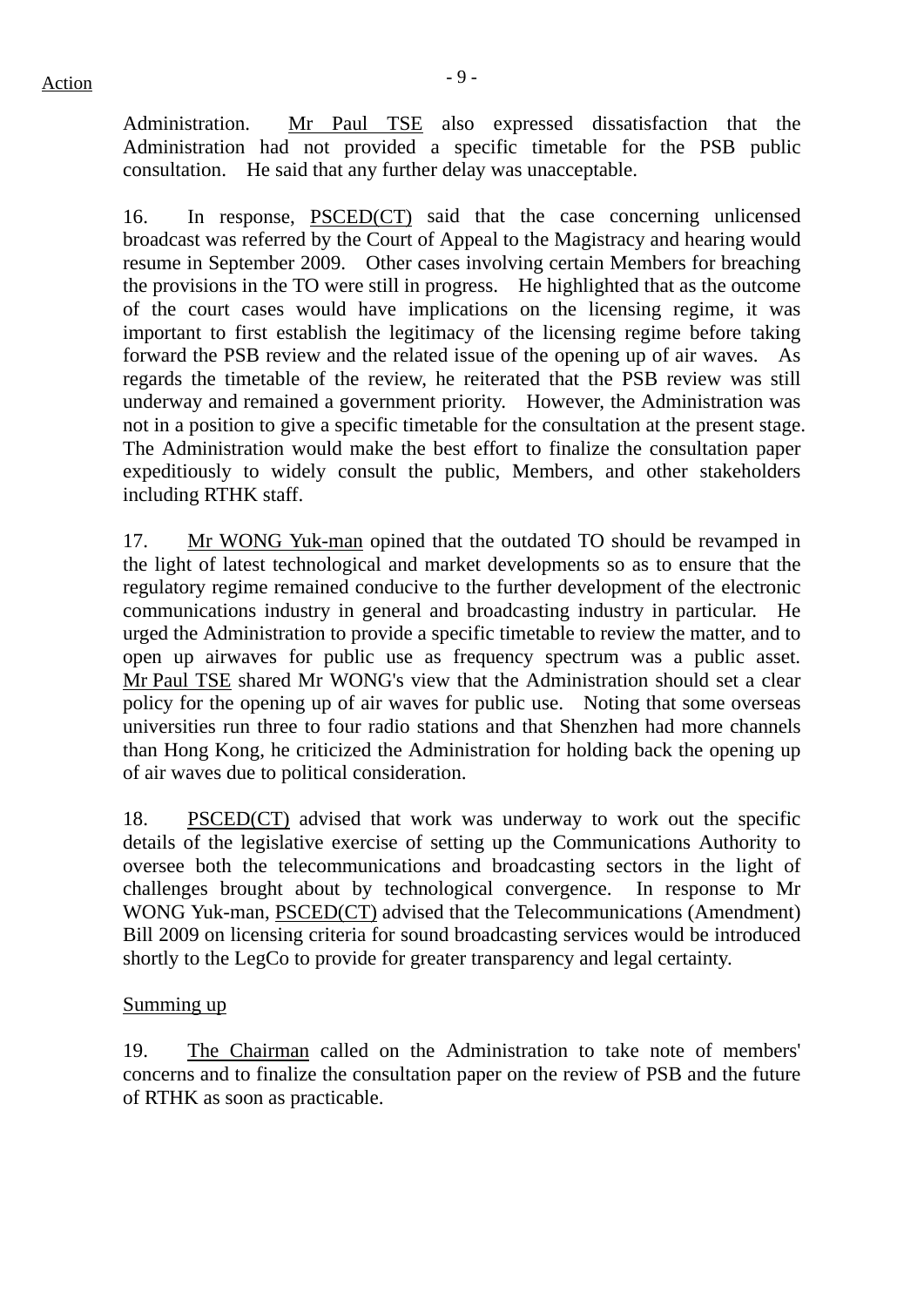Administration. Mr Paul TSE also expressed dissatisfaction that the Administration had not provided a specific timetable for the PSB public consultation. He said that any further delay was unacceptable.

16. In response, PSCED(CT) said that the case concerning unlicensed broadcast was referred by the Court of Appeal to the Magistracy and hearing would resume in September 2009. Other cases involving certain Members for breaching the provisions in the TO were still in progress. He highlighted that as the outcome of the court cases would have implications on the licensing regime, it was important to first establish the legitimacy of the licensing regime before taking forward the PSB review and the related issue of the opening up of air waves. As regards the timetable of the review, he reiterated that the PSB review was still underway and remained a government priority. However, the Administration was not in a position to give a specific timetable for the consultation at the present stage. The Administration would make the best effort to finalize the consultation paper expeditiously to widely consult the public, Members, and other stakeholders including RTHK staff.

17. Mr WONG Yuk-man opined that the outdated TO should be revamped in the light of latest technological and market developments so as to ensure that the regulatory regime remained conducive to the further development of the electronic communications industry in general and broadcasting industry in particular. He urged the Administration to provide a specific timetable to review the matter, and to open up airwaves for public use as frequency spectrum was a public asset. Mr Paul TSE shared Mr WONG's view that the Administration should set a clear policy for the opening up of air waves for public use. Noting that some overseas universities run three to four radio stations and that Shenzhen had more channels than Hong Kong, he criticized the Administration for holding back the opening up of air waves due to political consideration.

18. PSCED(CT) advised that work was underway to work out the specific details of the legislative exercise of setting up the Communications Authority to oversee both the telecommunications and broadcasting sectors in the light of challenges brought about by technological convergence. In response to Mr WONG Yuk-man, PSCED(CT) advised that the Telecommunications (Amendment) Bill 2009 on licensing criteria for sound broadcasting services would be introduced shortly to the LegCo to provide for greater transparency and legal certainty.

#### Summing up

19. The Chairman called on the Administration to take note of members' concerns and to finalize the consultation paper on the review of PSB and the future of RTHK as soon as practicable.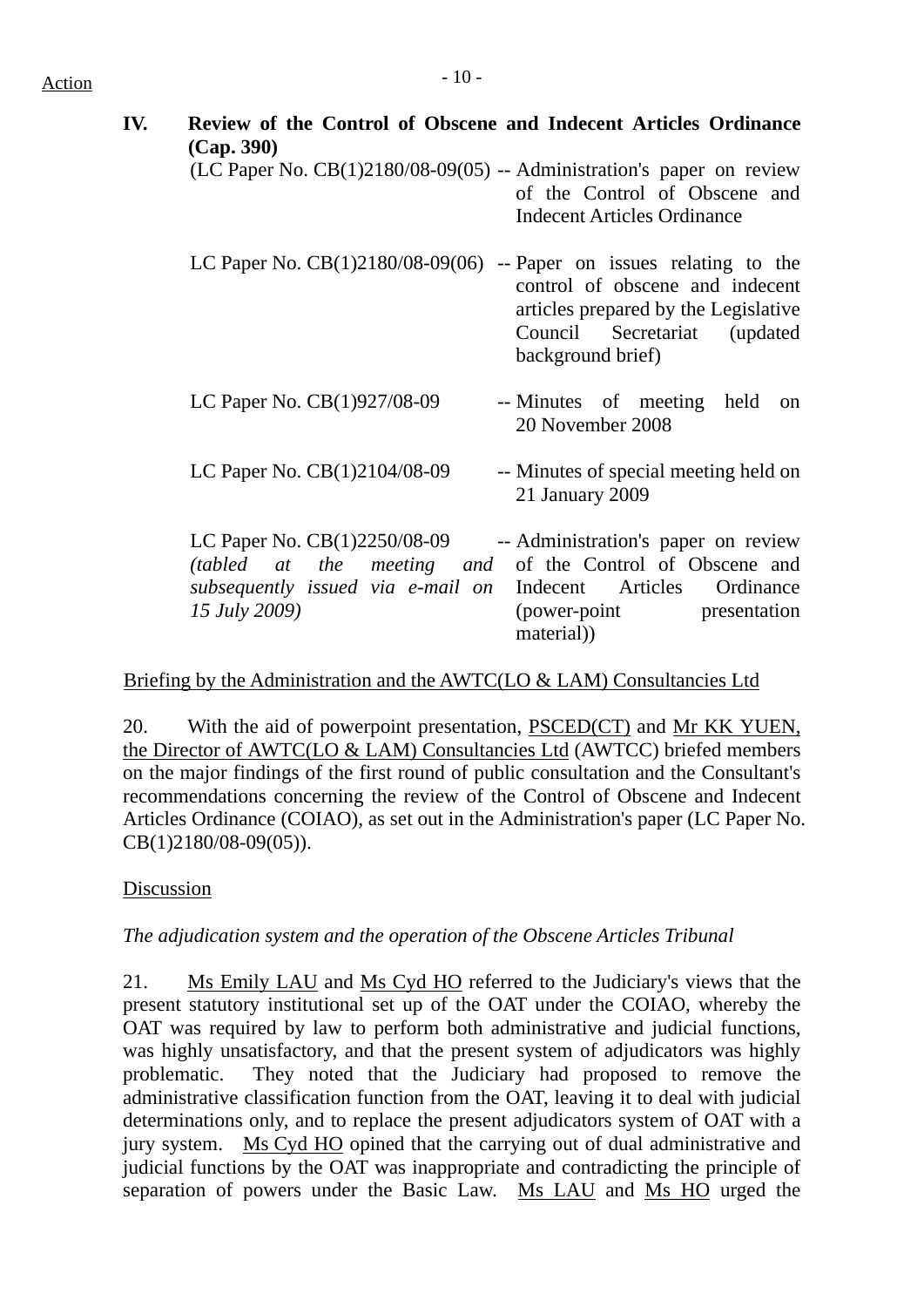# $Action$

| IV. | Review of the Control of Obscene and Indecent Articles Ordinance<br>(Cap. 390)                                                                                   |                                                                                                                                  |
|-----|------------------------------------------------------------------------------------------------------------------------------------------------------------------|----------------------------------------------------------------------------------------------------------------------------------|
|     | $(LC$ Paper No. $CB(1)2180/08-09(05)$ -- Administration's paper on review                                                                                        | of the Control of Obscene and<br><b>Indecent Articles Ordinance</b>                                                              |
|     | LC Paper No. $CB(1)2180/08-09(06)$ -- Paper on issues relating to the                                                                                            | control of obscene and indecent<br>articles prepared by the Legislative<br>Council<br>Secretariat (updated)<br>background brief) |
|     | LC Paper No. CB(1)927/08-09                                                                                                                                      | -- Minutes of meeting<br>held<br>on<br>20 November 2008                                                                          |
|     | LC Paper No. CB(1)2104/08-09                                                                                                                                     | -- Minutes of special meeting held on<br>21 January 2009                                                                         |
|     | LC Paper No. CB(1)2250/08-09<br>(tabled at the meeting and of the Control of Obscene and<br>subsequently issued via e-mail on Indecent Articles<br>15 July 2009) | -- Administration's paper on review<br>Ordinance<br>(power-point)<br>presentation<br>material)                                   |

Briefing by the Administration and the AWTC(LO & LAM) Consultancies Ltd

20. With the aid of powerpoint presentation, PSCED(CT) and Mr KK YUEN, the Director of AWTC(LO & LAM) Consultancies Ltd (AWTCC) briefed members on the major findings of the first round of public consultation and the Consultant's recommendations concerning the review of the Control of Obscene and Indecent Articles Ordinance (COIAO), as set out in the Administration's paper (LC Paper No. CB(1)2180/08-09(05)).

# Discussion

*The adjudication system and the operation of the Obscene Articles Tribunal* 

21. Ms Emily LAU and Ms Cyd HO referred to the Judiciary's views that the present statutory institutional set up of the OAT under the COIAO, whereby the OAT was required by law to perform both administrative and judicial functions, was highly unsatisfactory, and that the present system of adjudicators was highly problematic. They noted that the Judiciary had proposed to remove the administrative classification function from the OAT, leaving it to deal with judicial determinations only, and to replace the present adjudicators system of OAT with a jury system. Ms Cyd HO opined that the carrying out of dual administrative and judicial functions by the OAT was inappropriate and contradicting the principle of separation of powers under the Basic Law. Ms LAU and Ms HO urged the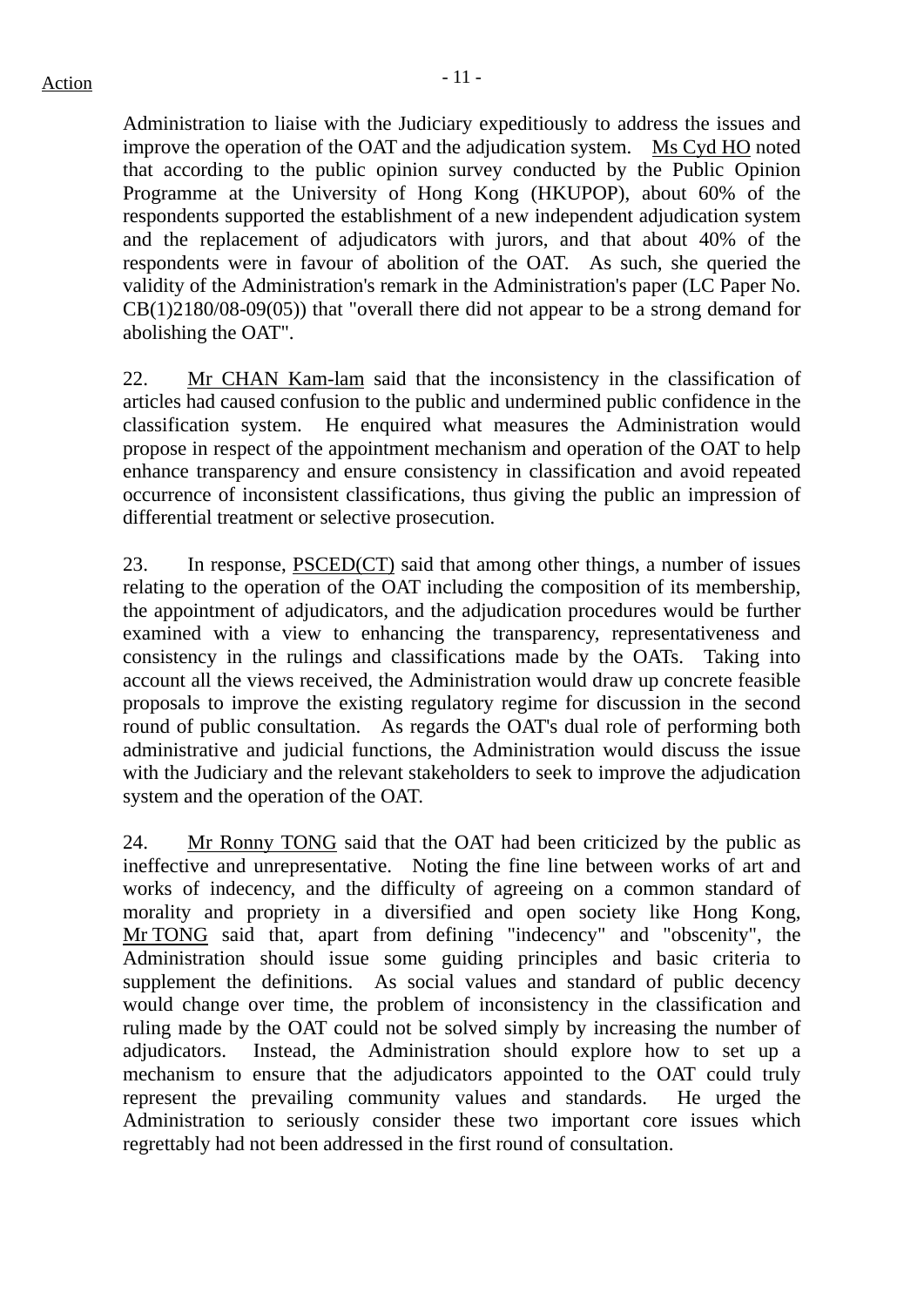Administration to liaise with the Judiciary expeditiously to address the issues and improve the operation of the OAT and the adjudication system. Ms Cyd HO noted that according to the public opinion survey conducted by the Public Opinion Programme at the University of Hong Kong (HKUPOP), about 60% of the respondents supported the establishment of a new independent adjudication system and the replacement of adjudicators with jurors, and that about 40% of the respondents were in favour of abolition of the OAT. As such, she queried the validity of the Administration's remark in the Administration's paper (LC Paper No. CB(1)2180/08-09(05)) that "overall there did not appear to be a strong demand for abolishing the OAT".

22. Mr CHAN Kam-lam said that the inconsistency in the classification of articles had caused confusion to the public and undermined public confidence in the classification system. He enquired what measures the Administration would propose in respect of the appointment mechanism and operation of the OAT to help enhance transparency and ensure consistency in classification and avoid repeated occurrence of inconsistent classifications, thus giving the public an impression of differential treatment or selective prosecution.

23. In response, PSCED(CT) said that among other things, a number of issues relating to the operation of the OAT including the composition of its membership, the appointment of adjudicators, and the adjudication procedures would be further examined with a view to enhancing the transparency, representativeness and consistency in the rulings and classifications made by the OATs. Taking into account all the views received, the Administration would draw up concrete feasible proposals to improve the existing regulatory regime for discussion in the second round of public consultation. As regards the OAT's dual role of performing both administrative and judicial functions, the Administration would discuss the issue with the Judiciary and the relevant stakeholders to seek to improve the adjudication system and the operation of the OAT.

24. Mr Ronny TONG said that the OAT had been criticized by the public as ineffective and unrepresentative. Noting the fine line between works of art and works of indecency, and the difficulty of agreeing on a common standard of morality and propriety in a diversified and open society like Hong Kong, Mr TONG said that, apart from defining "indecency" and "obscenity", the Administration should issue some guiding principles and basic criteria to supplement the definitions. As social values and standard of public decency would change over time, the problem of inconsistency in the classification and ruling made by the OAT could not be solved simply by increasing the number of adjudicators. Instead, the Administration should explore how to set up a mechanism to ensure that the adjudicators appointed to the OAT could truly represent the prevailing community values and standards. He urged the Administration to seriously consider these two important core issues which regrettably had not been addressed in the first round of consultation.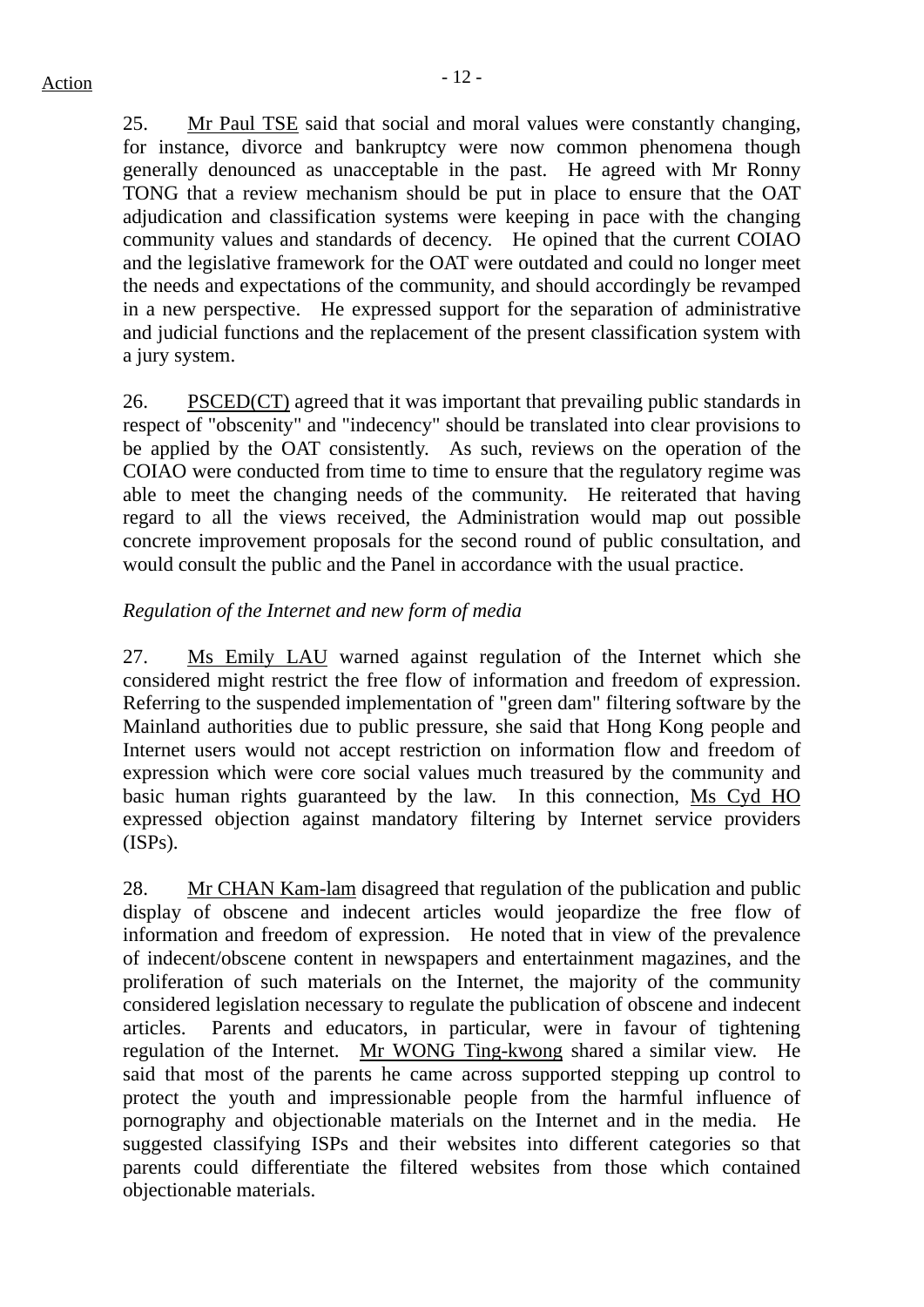25. Mr Paul TSE said that social and moral values were constantly changing, for instance, divorce and bankruptcy were now common phenomena though generally denounced as unacceptable in the past. He agreed with Mr Ronny TONG that a review mechanism should be put in place to ensure that the OAT adjudication and classification systems were keeping in pace with the changing community values and standards of decency. He opined that the current COIAO and the legislative framework for the OAT were outdated and could no longer meet the needs and expectations of the community, and should accordingly be revamped in a new perspective. He expressed support for the separation of administrative and judicial functions and the replacement of the present classification system with a jury system.

26. PSCED(CT) agreed that it was important that prevailing public standards in respect of "obscenity" and "indecency" should be translated into clear provisions to be applied by the OAT consistently. As such, reviews on the operation of the COIAO were conducted from time to time to ensure that the regulatory regime was able to meet the changing needs of the community. He reiterated that having regard to all the views received, the Administration would map out possible concrete improvement proposals for the second round of public consultation, and would consult the public and the Panel in accordance with the usual practice.

# *Regulation of the Internet and new form of media*

27. Ms Emily LAU warned against regulation of the Internet which she considered might restrict the free flow of information and freedom of expression. Referring to the suspended implementation of "green dam" filtering software by the Mainland authorities due to public pressure, she said that Hong Kong people and Internet users would not accept restriction on information flow and freedom of expression which were core social values much treasured by the community and basic human rights guaranteed by the law. In this connection, Ms Cyd HO expressed objection against mandatory filtering by Internet service providers (ISPs).

28. Mr CHAN Kam-lam disagreed that regulation of the publication and public display of obscene and indecent articles would jeopardize the free flow of information and freedom of expression. He noted that in view of the prevalence of indecent/obscene content in newspapers and entertainment magazines, and the proliferation of such materials on the Internet, the majority of the community considered legislation necessary to regulate the publication of obscene and indecent articles. Parents and educators, in particular, were in favour of tightening regulation of the Internet. Mr WONG Ting-kwong shared a similar view. He said that most of the parents he came across supported stepping up control to protect the youth and impressionable people from the harmful influence of pornography and objectionable materials on the Internet and in the media. He suggested classifying ISPs and their websites into different categories so that parents could differentiate the filtered websites from those which contained objectionable materials.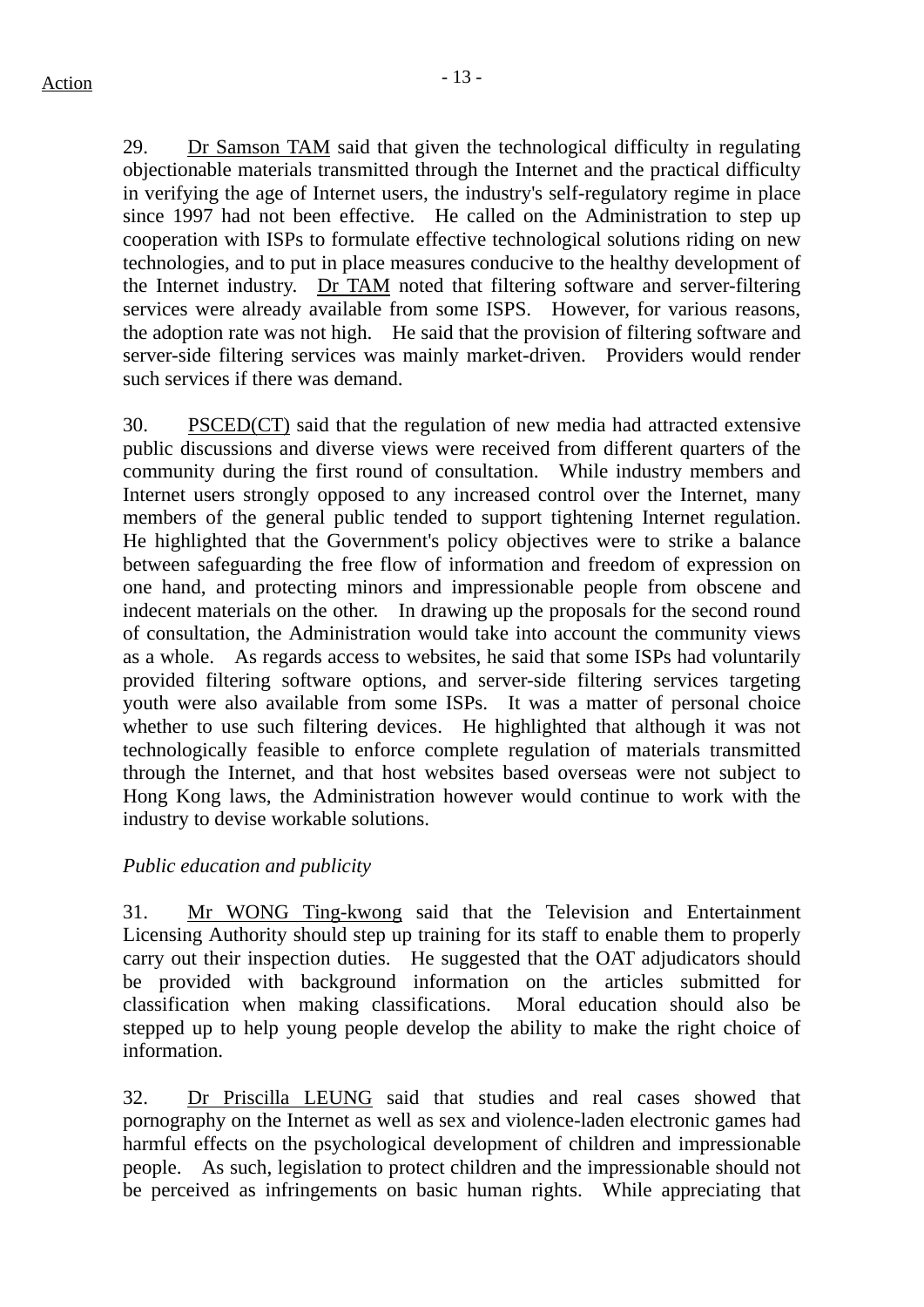29. Dr Samson TAM said that given the technological difficulty in regulating objectionable materials transmitted through the Internet and the practical difficulty in verifying the age of Internet users, the industry's self-regulatory regime in place since 1997 had not been effective. He called on the Administration to step up cooperation with ISPs to formulate effective technological solutions riding on new technologies, and to put in place measures conducive to the healthy development of the Internet industry. Dr TAM noted that filtering software and server-filtering services were already available from some ISPS. However, for various reasons, the adoption rate was not high. He said that the provision of filtering software and server-side filtering services was mainly market-driven. Providers would render such services if there was demand.

30. PSCED(CT) said that the regulation of new media had attracted extensive public discussions and diverse views were received from different quarters of the community during the first round of consultation. While industry members and Internet users strongly opposed to any increased control over the Internet, many members of the general public tended to support tightening Internet regulation. He highlighted that the Government's policy objectives were to strike a balance between safeguarding the free flow of information and freedom of expression on one hand, and protecting minors and impressionable people from obscene and indecent materials on the other. In drawing up the proposals for the second round of consultation, the Administration would take into account the community views as a whole. As regards access to websites, he said that some ISPs had voluntarily provided filtering software options, and server-side filtering services targeting youth were also available from some ISPs. It was a matter of personal choice whether to use such filtering devices. He highlighted that although it was not technologically feasible to enforce complete regulation of materials transmitted through the Internet, and that host websites based overseas were not subject to Hong Kong laws, the Administration however would continue to work with the industry to devise workable solutions.

## *Public education and publicity*

31. Mr WONG Ting-kwong said that the Television and Entertainment Licensing Authority should step up training for its staff to enable them to properly carry out their inspection duties. He suggested that the OAT adjudicators should be provided with background information on the articles submitted for classification when making classifications. Moral education should also be stepped up to help young people develop the ability to make the right choice of information.

32. Dr Priscilla LEUNG said that studies and real cases showed that pornography on the Internet as well as sex and violence-laden electronic games had harmful effects on the psychological development of children and impressionable people. As such, legislation to protect children and the impressionable should not be perceived as infringements on basic human rights. While appreciating that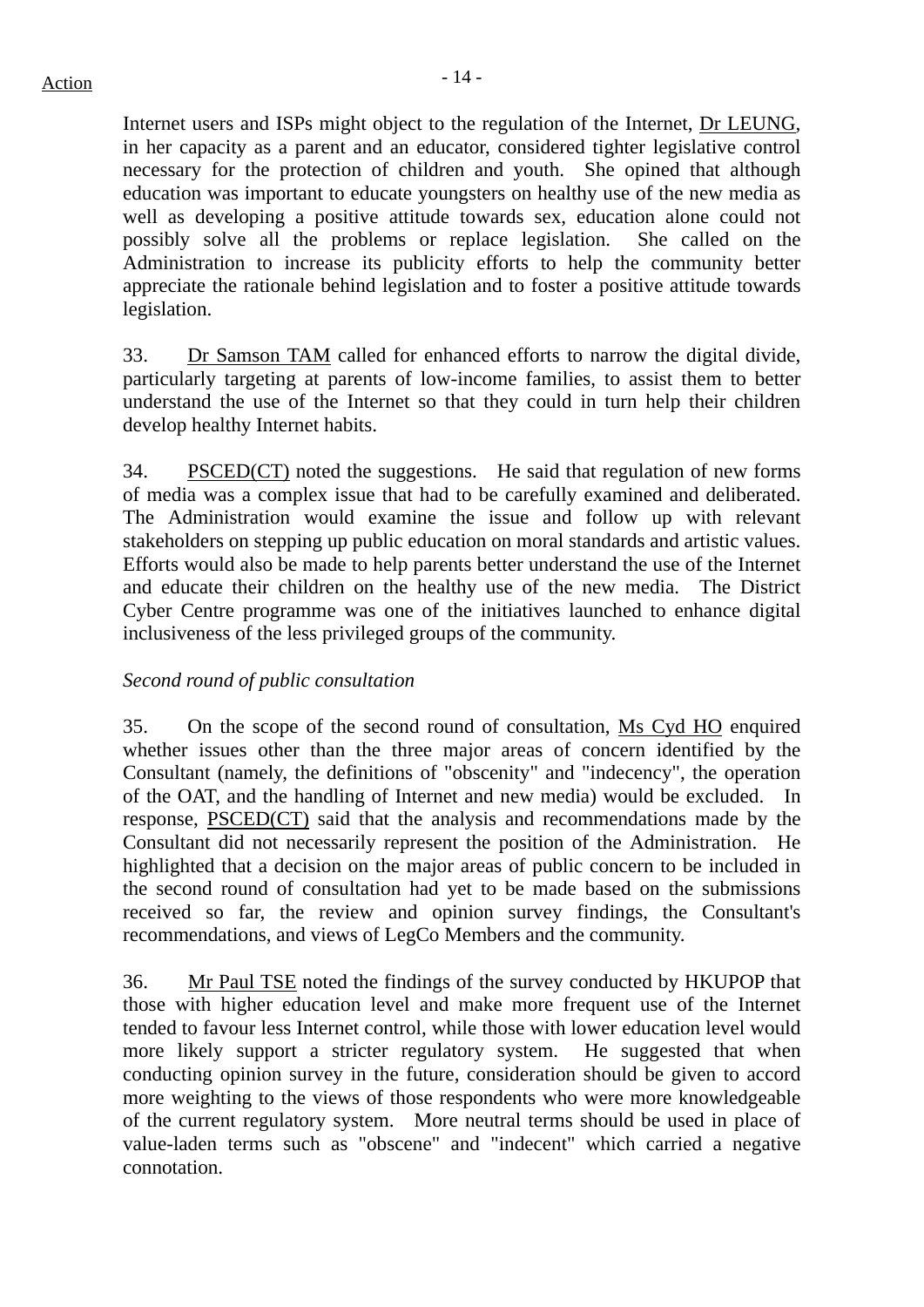Internet users and ISPs might object to the regulation of the Internet, Dr LEUNG, in her capacity as a parent and an educator, considered tighter legislative control necessary for the protection of children and youth. She opined that although education was important to educate youngsters on healthy use of the new media as well as developing a positive attitude towards sex, education alone could not possibly solve all the problems or replace legislation. She called on the Administration to increase its publicity efforts to help the community better appreciate the rationale behind legislation and to foster a positive attitude towards legislation.

33. Dr Samson TAM called for enhanced efforts to narrow the digital divide, particularly targeting at parents of low-income families, to assist them to better understand the use of the Internet so that they could in turn help their children develop healthy Internet habits.

34. PSCED(CT) noted the suggestions. He said that regulation of new forms of media was a complex issue that had to be carefully examined and deliberated. The Administration would examine the issue and follow up with relevant stakeholders on stepping up public education on moral standards and artistic values. Efforts would also be made to help parents better understand the use of the Internet and educate their children on the healthy use of the new media. The District Cyber Centre programme was one of the initiatives launched to enhance digital inclusiveness of the less privileged groups of the community.

## *Second round of public consultation*

35. On the scope of the second round of consultation, Ms Cyd HO enquired whether issues other than the three major areas of concern identified by the Consultant (namely, the definitions of "obscenity" and "indecency", the operation of the OAT, and the handling of Internet and new media) would be excluded. In response, PSCED(CT) said that the analysis and recommendations made by the Consultant did not necessarily represent the position of the Administration. He highlighted that a decision on the major areas of public concern to be included in the second round of consultation had yet to be made based on the submissions received so far, the review and opinion survey findings, the Consultant's recommendations, and views of LegCo Members and the community.

36. Mr Paul TSE noted the findings of the survey conducted by HKUPOP that those with higher education level and make more frequent use of the Internet tended to favour less Internet control, while those with lower education level would more likely support a stricter regulatory system. He suggested that when conducting opinion survey in the future, consideration should be given to accord more weighting to the views of those respondents who were more knowledgeable of the current regulatory system. More neutral terms should be used in place of value-laden terms such as "obscene" and "indecent" which carried a negative connotation.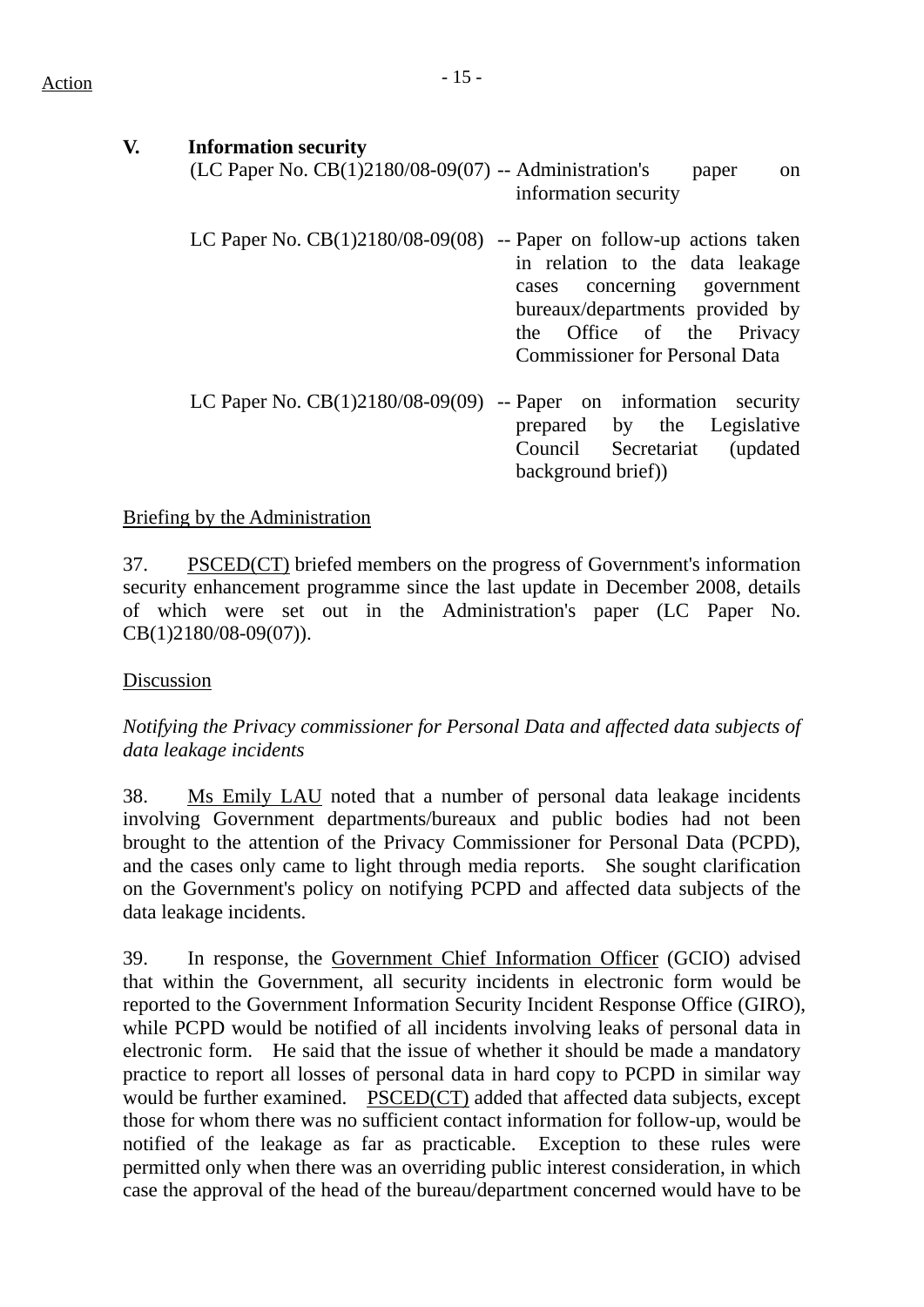| V. | <b>Information security</b><br>(LC Paper No. CB(1)2180/08-09(07) -- Administration's | paper<br><sub>on</sub><br>information security                                                                                                                          |
|----|--------------------------------------------------------------------------------------|-------------------------------------------------------------------------------------------------------------------------------------------------------------------------|
|    | LC Paper No. $CB(1)2180/08-09(08)$ -- Paper on follow-up actions taken               | in relation to the data leakage<br>cases concerning government<br>bureaux/departments provided by<br>the Office of the Privacy<br><b>Commissioner for Personal Data</b> |
|    | LC Paper No. $CB(1)2180/08-09(09)$ -- Paper on information security                  | prepared by the Legislative<br>Council Secretariat (updated)<br>background brief)                                                                                       |

### Briefing by the Administration

37. PSCED(CT) briefed members on the progress of Government's information security enhancement programme since the last update in December 2008, details of which were set out in the Administration's paper (LC Paper No. CB(1)2180/08-09(07)).

#### Discussion

# *Notifying the Privacy commissioner for Personal Data and affected data subjects of data leakage incidents*

38. Ms Emily LAU noted that a number of personal data leakage incidents involving Government departments/bureaux and public bodies had not been brought to the attention of the Privacy Commissioner for Personal Data (PCPD), and the cases only came to light through media reports. She sought clarification on the Government's policy on notifying PCPD and affected data subjects of the data leakage incidents.

39. In response, the Government Chief Information Officer (GCIO) advised that within the Government, all security incidents in electronic form would be reported to the Government Information Security Incident Response Office (GIRO), while PCPD would be notified of all incidents involving leaks of personal data in electronic form. He said that the issue of whether it should be made a mandatory practice to report all losses of personal data in hard copy to PCPD in similar way would be further examined. PSCED(CT) added that affected data subjects, except those for whom there was no sufficient contact information for follow-up, would be notified of the leakage as far as practicable. Exception to these rules were permitted only when there was an overriding public interest consideration, in which case the approval of the head of the bureau/department concerned would have to be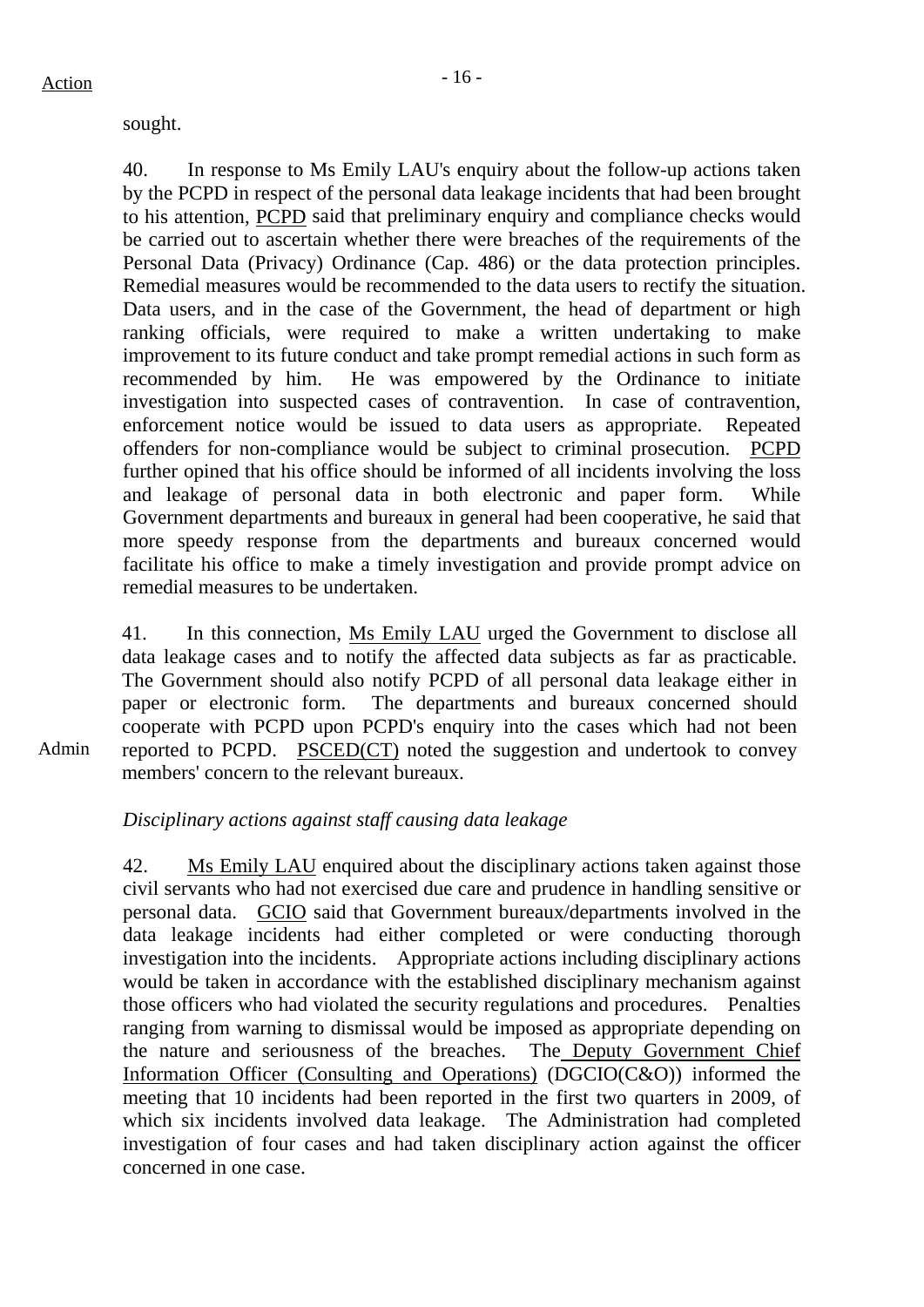sought.

40. In response to Ms Emily LAU's enquiry about the follow-up actions taken by the PCPD in respect of the personal data leakage incidents that had been brought to his attention, PCPD said that preliminary enquiry and compliance checks would be carried out to ascertain whether there were breaches of the requirements of the Personal Data (Privacy) Ordinance (Cap. 486) or the data protection principles. Remedial measures would be recommended to the data users to rectify the situation. Data users, and in the case of the Government, the head of department or high ranking officials, were required to make a written undertaking to make improvement to its future conduct and take prompt remedial actions in such form as recommended by him. He was empowered by the Ordinance to initiate investigation into suspected cases of contravention. In case of contravention, enforcement notice would be issued to data users as appropriate. Repeated offenders for non-compliance would be subject to criminal prosecution. PCPD further opined that his office should be informed of all incidents involving the loss and leakage of personal data in both electronic and paper form. While Government departments and bureaux in general had been cooperative, he said that more speedy response from the departments and bureaux concerned would facilitate his office to make a timely investigation and provide prompt advice on remedial measures to be undertaken.

41. In this connection, Ms Emily LAU urged the Government to disclose all data leakage cases and to notify the affected data subjects as far as practicable. The Government should also notify PCPD of all personal data leakage either in paper or electronic form. The departments and bureaux concerned should cooperate with PCPD upon PCPD's enquiry into the cases which had not been reported to PCPD. PSCED(CT) noted the suggestion and undertook to convey members' concern to the relevant bureaux.

*Disciplinary actions against staff causing data leakage* 

42. Ms Emily LAU enquired about the disciplinary actions taken against those civil servants who had not exercised due care and prudence in handling sensitive or personal data. GCIO said that Government bureaux/departments involved in the data leakage incidents had either completed or were conducting thorough investigation into the incidents. Appropriate actions including disciplinary actions would be taken in accordance with the established disciplinary mechanism against those officers who had violated the security regulations and procedures. Penalties ranging from warning to dismissal would be imposed as appropriate depending on the nature and seriousness of the breaches. The Deputy Government Chief Information Officer (Consulting and Operations) (DGCIO(C&O)) informed the meeting that 10 incidents had been reported in the first two quarters in 2009, of which six incidents involved data leakage. The Administration had completed investigation of four cases and had taken disciplinary action against the officer concerned in one case.

Admin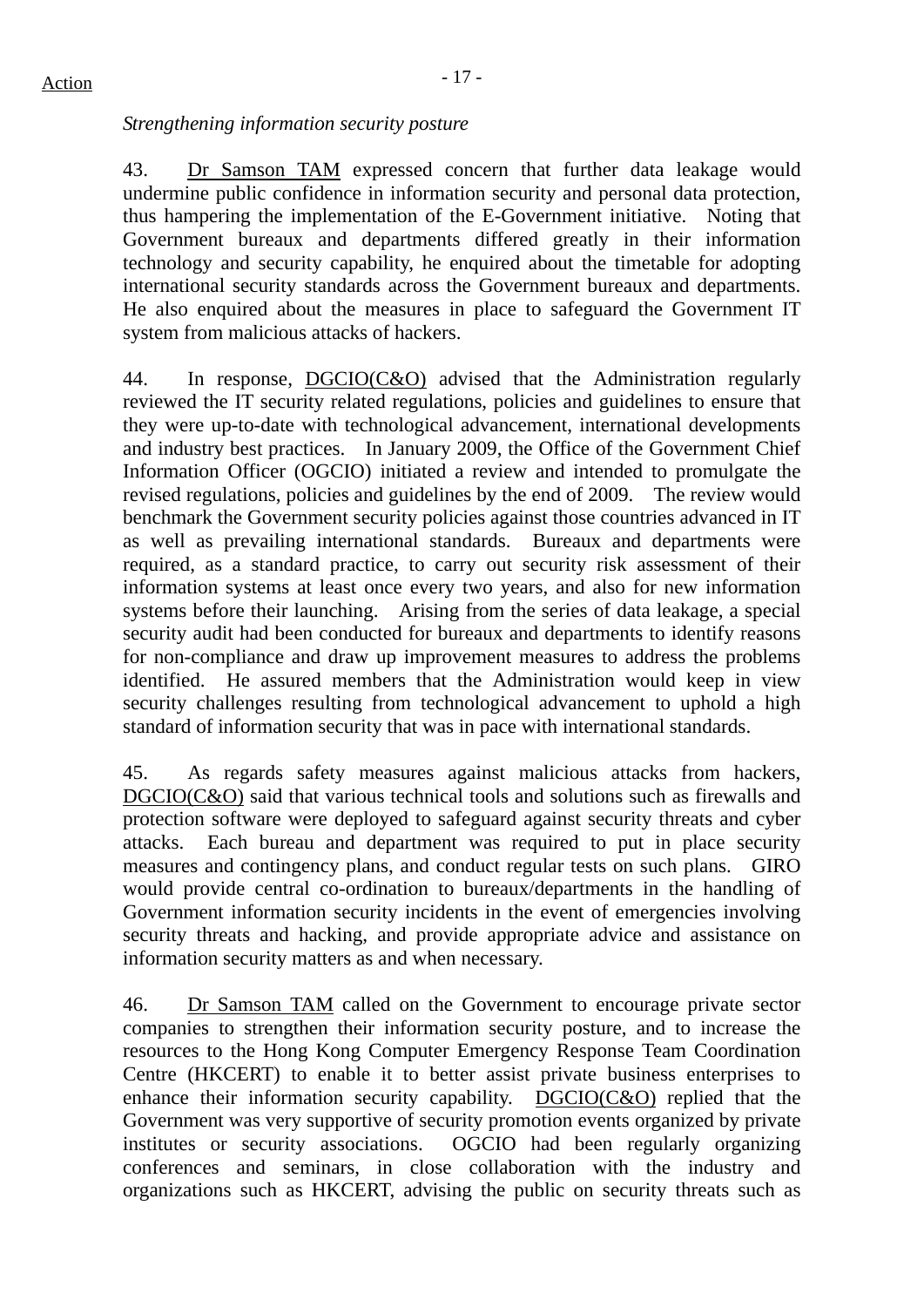# *Strengthening information security posture*

43. Dr Samson TAM expressed concern that further data leakage would undermine public confidence in information security and personal data protection, thus hampering the implementation of the E-Government initiative. Noting that Government bureaux and departments differed greatly in their information technology and security capability, he enquired about the timetable for adopting international security standards across the Government bureaux and departments. He also enquired about the measures in place to safeguard the Government IT system from malicious attacks of hackers.

44. In response, DGCIO(C&O) advised that the Administration regularly reviewed the IT security related regulations, policies and guidelines to ensure that they were up-to-date with technological advancement, international developments and industry best practices. In January 2009, the Office of the Government Chief Information Officer (OGCIO) initiated a review and intended to promulgate the revised regulations, policies and guidelines by the end of 2009. The review would benchmark the Government security policies against those countries advanced in IT as well as prevailing international standards. Bureaux and departments were required, as a standard practice, to carry out security risk assessment of their information systems at least once every two years, and also for new information systems before their launching. Arising from the series of data leakage, a special security audit had been conducted for bureaux and departments to identify reasons for non-compliance and draw up improvement measures to address the problems identified. He assured members that the Administration would keep in view security challenges resulting from technological advancement to uphold a high standard of information security that was in pace with international standards.

45. As regards safety measures against malicious attacks from hackers, DGCIO(C&O) said that various technical tools and solutions such as firewalls and protection software were deployed to safeguard against security threats and cyber attacks. Each bureau and department was required to put in place security measures and contingency plans, and conduct regular tests on such plans. GIRO would provide central co-ordination to bureaux/departments in the handling of Government information security incidents in the event of emergencies involving security threats and hacking, and provide appropriate advice and assistance on information security matters as and when necessary.

46. Dr Samson TAM called on the Government to encourage private sector companies to strengthen their information security posture, and to increase the resources to the Hong Kong Computer Emergency Response Team Coordination Centre (HKCERT) to enable it to better assist private business enterprises to enhance their information security capability. DGCIO(C&O) replied that the Government was very supportive of security promotion events organized by private institutes or security associations. OGCIO had been regularly organizing conferences and seminars, in close collaboration with the industry and organizations such as HKCERT, advising the public on security threats such as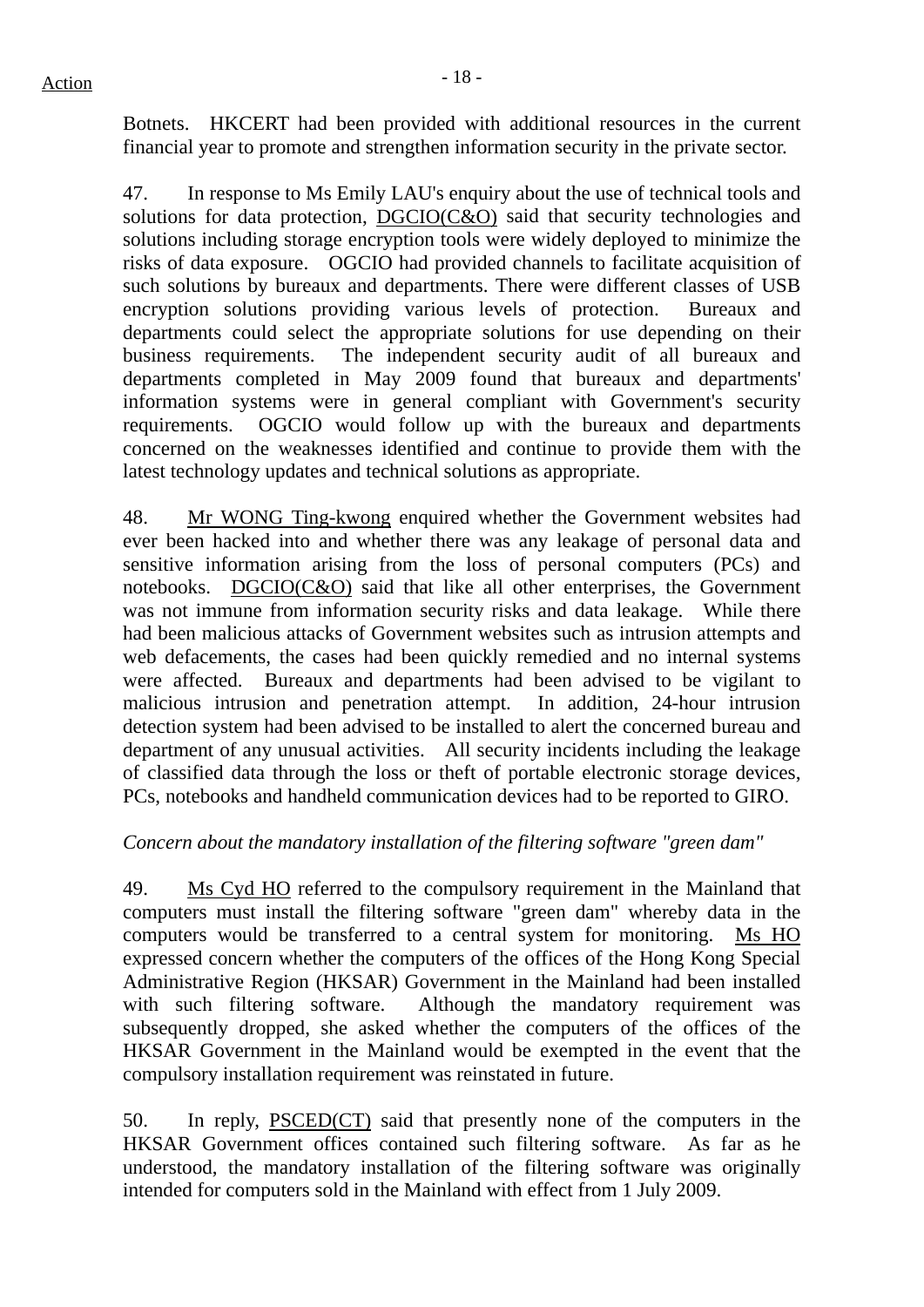Botnets. HKCERT had been provided with additional resources in the current financial year to promote and strengthen information security in the private sector.

47. In response to Ms Emily LAU's enquiry about the use of technical tools and solutions for data protection, DGCIO(C&O) said that security technologies and solutions including storage encryption tools were widely deployed to minimize the risks of data exposure. OGCIO had provided channels to facilitate acquisition of such solutions by bureaux and departments. There were different classes of USB encryption solutions providing various levels of protection. Bureaux and departments could select the appropriate solutions for use depending on their business requirements. The independent security audit of all bureaux and departments completed in May 2009 found that bureaux and departments' information systems were in general compliant with Government's security requirements. OGCIO would follow up with the bureaux and departments concerned on the weaknesses identified and continue to provide them with the latest technology updates and technical solutions as appropriate.

48. Mr WONG Ting-kwong enquired whether the Government websites had ever been hacked into and whether there was any leakage of personal data and sensitive information arising from the loss of personal computers (PCs) and notebooks. DGCIO(C&O) said that like all other enterprises, the Government was not immune from information security risks and data leakage. While there had been malicious attacks of Government websites such as intrusion attempts and web defacements, the cases had been quickly remedied and no internal systems were affected. Bureaux and departments had been advised to be vigilant to malicious intrusion and penetration attempt. In addition, 24-hour intrusion detection system had been advised to be installed to alert the concerned bureau and department of any unusual activities. All security incidents including the leakage of classified data through the loss or theft of portable electronic storage devices, PCs, notebooks and handheld communication devices had to be reported to GIRO.

## *Concern about the mandatory installation of the filtering software "green dam"*

49. Ms Cyd HO referred to the compulsory requirement in the Mainland that computers must install the filtering software "green dam" whereby data in the computers would be transferred to a central system for monitoring. Ms HO expressed concern whether the computers of the offices of the Hong Kong Special Administrative Region (HKSAR) Government in the Mainland had been installed with such filtering software. Although the mandatory requirement was subsequently dropped, she asked whether the computers of the offices of the HKSAR Government in the Mainland would be exempted in the event that the compulsory installation requirement was reinstated in future.

50. In reply, PSCED(CT) said that presently none of the computers in the HKSAR Government offices contained such filtering software. As far as he understood, the mandatory installation of the filtering software was originally intended for computers sold in the Mainland with effect from 1 July 2009.